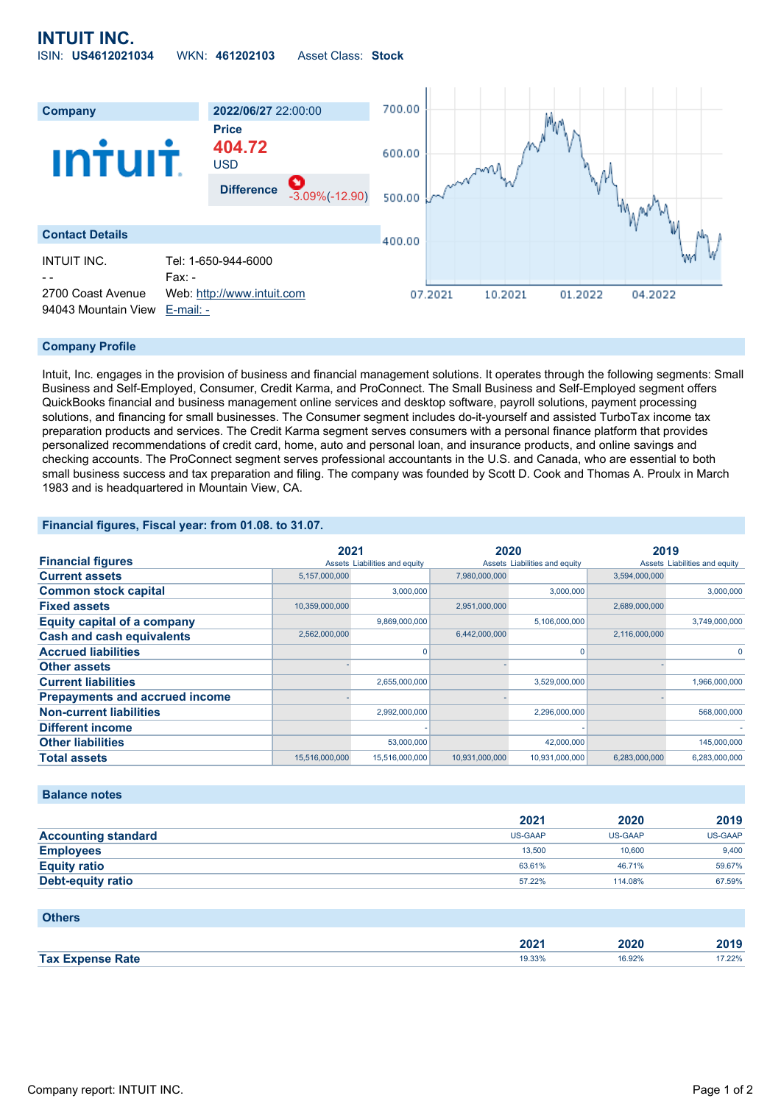# **INTUIT INC.** ISIN: **US4612021034** WKN: **461202103** Asset Class: **Stock**



#### **Company Profile**

Intuit, Inc. engages in the provision of business and financial management solutions. It operates through the following segments: Small Business and Self-Employed, Consumer, Credit Karma, and ProConnect. The Small Business and Self-Employed segment offers QuickBooks financial and business management online services and desktop software, payroll solutions, payment processing solutions, and financing for small businesses. The Consumer segment includes do-it-yourself and assisted TurboTax income tax preparation products and services. The Credit Karma segment serves consumers with a personal finance platform that provides personalized recommendations of credit card, home, auto and personal loan, and insurance products, and online savings and checking accounts. The ProConnect segment serves professional accountants in the U.S. and Canada, who are essential to both small business success and tax preparation and filing. The company was founded by Scott D. Cook and Thomas A. Proulx in March 1983 and is headquartered in Mountain View, CA.

### **Financial figures, Fiscal year: from 01.08. to 31.07.**

|                                       | 2021           |                               | 2020           |                               | 2019          |                               |
|---------------------------------------|----------------|-------------------------------|----------------|-------------------------------|---------------|-------------------------------|
| <b>Financial figures</b>              |                | Assets Liabilities and equity |                | Assets Liabilities and equity |               | Assets Liabilities and equity |
| <b>Current assets</b>                 | 5,157,000,000  |                               | 7,980,000,000  |                               | 3,594,000,000 |                               |
| <b>Common stock capital</b>           |                | 3,000,000                     |                | 3,000,000                     |               | 3,000,000                     |
| <b>Fixed assets</b>                   | 10,359,000,000 |                               | 2,951,000,000  |                               | 2,689,000,000 |                               |
| <b>Equity capital of a company</b>    |                | 9,869,000,000                 |                | 5,106,000,000                 |               | 3,749,000,000                 |
| <b>Cash and cash equivalents</b>      | 2,562,000,000  |                               | 6,442,000,000  |                               | 2,116,000,000 |                               |
| <b>Accrued liabilities</b>            |                |                               |                |                               |               |                               |
| <b>Other assets</b>                   |                |                               |                |                               |               |                               |
| <b>Current liabilities</b>            |                | 2,655,000,000                 |                | 3,529,000,000                 |               | 1,966,000,000                 |
| <b>Prepayments and accrued income</b> |                |                               |                |                               |               |                               |
| <b>Non-current liabilities</b>        |                | 2,992,000,000                 |                | 2,296,000,000                 |               | 568,000,000                   |
| <b>Different income</b>               |                |                               |                |                               |               |                               |
| <b>Other liabilities</b>              |                | 53,000,000                    |                | 42,000,000                    |               | 145,000,000                   |
| <b>Total assets</b>                   | 15,516,000,000 | 15,516,000,000                | 10,931,000,000 | 10,931,000,000                | 6,283,000,000 | 6,283,000,000                 |

### **Balance notes**

|                            | 2021           | 2020           | 2019    |
|----------------------------|----------------|----------------|---------|
| <b>Accounting standard</b> | <b>US-GAAP</b> | <b>US-GAAP</b> | US-GAAP |
| <b>Employees</b>           | 13.500         | 10.600         | 9.400   |
| <b>Equity ratio</b>        | 63.61%         | 46.71%         | 59.67%  |
| <b>Debt-equity ratio</b>   | 57.22%         | 114.08%        | 67.59%  |

### **Others**

|              | ירחר<br>- 94 | 2020   | 40 I J    |
|--------------|--------------|--------|-----------|
| <b>Tax I</b> | 19.33%       | 16.92% | . 1.22%   |
| Rate         |              | .      | . <u></u> |